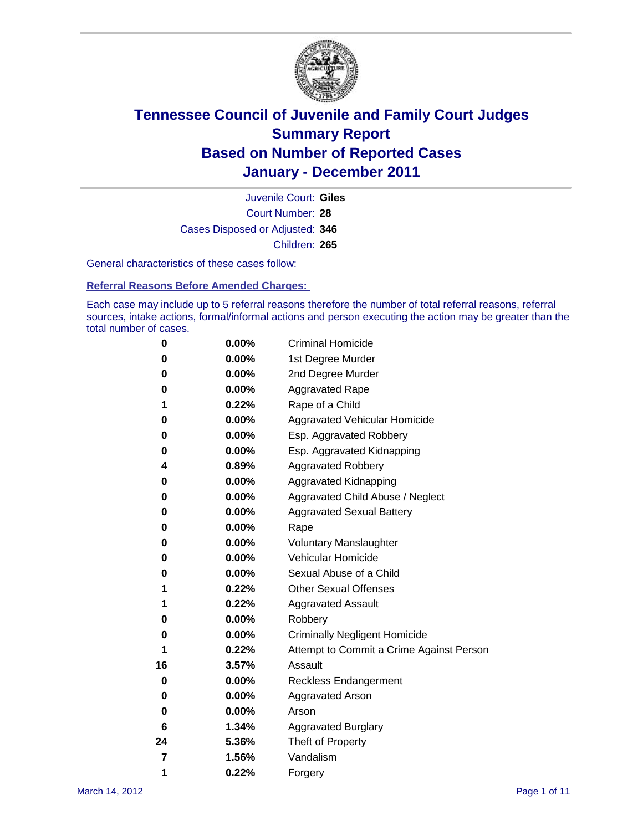

Court Number: **28** Juvenile Court: **Giles** Cases Disposed or Adjusted: **346** Children: **265**

General characteristics of these cases follow:

**Referral Reasons Before Amended Charges:** 

Each case may include up to 5 referral reasons therefore the number of total referral reasons, referral sources, intake actions, formal/informal actions and person executing the action may be greater than the total number of cases.

| 0  | 0.00%    | <b>Criminal Homicide</b>                 |
|----|----------|------------------------------------------|
| 0  | 0.00%    | 1st Degree Murder                        |
| 0  | 0.00%    | 2nd Degree Murder                        |
| 0  | 0.00%    | <b>Aggravated Rape</b>                   |
| 1  | 0.22%    | Rape of a Child                          |
| 0  | 0.00%    | Aggravated Vehicular Homicide            |
| 0  | 0.00%    | Esp. Aggravated Robbery                  |
| 0  | 0.00%    | Esp. Aggravated Kidnapping               |
| 4  | 0.89%    | <b>Aggravated Robbery</b>                |
| 0  | 0.00%    | Aggravated Kidnapping                    |
| 0  | 0.00%    | Aggravated Child Abuse / Neglect         |
| 0  | $0.00\%$ | <b>Aggravated Sexual Battery</b>         |
| 0  | 0.00%    | Rape                                     |
| 0  | $0.00\%$ | <b>Voluntary Manslaughter</b>            |
| 0  | 0.00%    | Vehicular Homicide                       |
| 0  | 0.00%    | Sexual Abuse of a Child                  |
| 1  | 0.22%    | <b>Other Sexual Offenses</b>             |
| 1  | 0.22%    | <b>Aggravated Assault</b>                |
| 0  | $0.00\%$ | Robbery                                  |
| 0  | 0.00%    | <b>Criminally Negligent Homicide</b>     |
| 1  | 0.22%    | Attempt to Commit a Crime Against Person |
| 16 | 3.57%    | Assault                                  |
| 0  | 0.00%    | <b>Reckless Endangerment</b>             |
| 0  | 0.00%    | <b>Aggravated Arson</b>                  |
| 0  | 0.00%    | Arson                                    |
| 6  | 1.34%    | <b>Aggravated Burglary</b>               |
| 24 | 5.36%    | Theft of Property                        |
| 7  | 1.56%    | Vandalism                                |
| 1  | 0.22%    | Forgery                                  |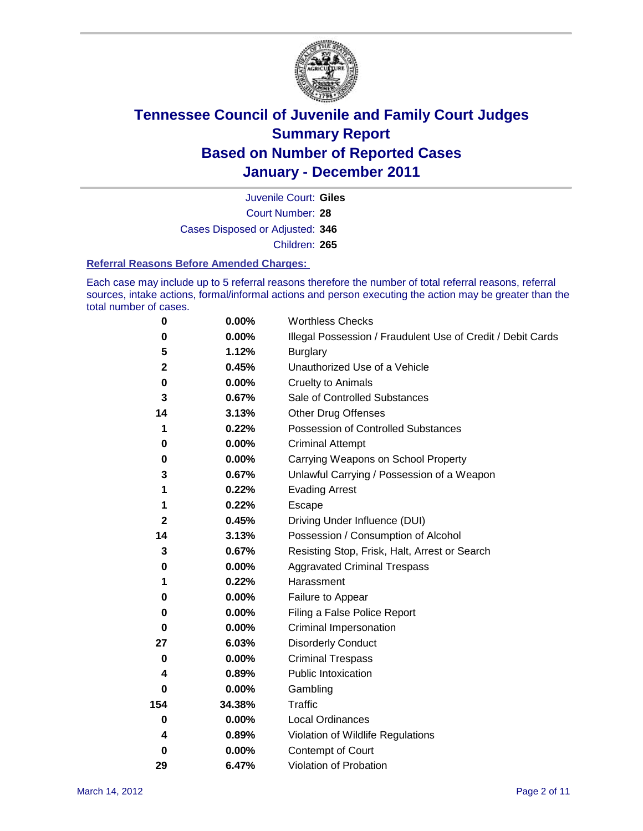

Court Number: **28** Juvenile Court: **Giles** Cases Disposed or Adjusted: **346** Children: **265**

#### **Referral Reasons Before Amended Charges:**

Each case may include up to 5 referral reasons therefore the number of total referral reasons, referral sources, intake actions, formal/informal actions and person executing the action may be greater than the total number of cases.

| $\pmb{0}$    | 0.00%    | <b>Worthless Checks</b>                                     |
|--------------|----------|-------------------------------------------------------------|
| 0            | 0.00%    | Illegal Possession / Fraudulent Use of Credit / Debit Cards |
| 5            | 1.12%    | <b>Burglary</b>                                             |
| 2            | 0.45%    | Unauthorized Use of a Vehicle                               |
| $\pmb{0}$    | $0.00\%$ | <b>Cruelty to Animals</b>                                   |
| 3            | 0.67%    | Sale of Controlled Substances                               |
| 14           | 3.13%    | <b>Other Drug Offenses</b>                                  |
| 1            | 0.22%    | Possession of Controlled Substances                         |
| 0            | $0.00\%$ | <b>Criminal Attempt</b>                                     |
| 0            | 0.00%    | Carrying Weapons on School Property                         |
| 3            | 0.67%    | Unlawful Carrying / Possession of a Weapon                  |
| 1            | 0.22%    | <b>Evading Arrest</b>                                       |
| 1            | 0.22%    | Escape                                                      |
| $\mathbf{2}$ | 0.45%    | Driving Under Influence (DUI)                               |
| 14           | 3.13%    | Possession / Consumption of Alcohol                         |
| 3            | 0.67%    | Resisting Stop, Frisk, Halt, Arrest or Search               |
| 0            | $0.00\%$ | <b>Aggravated Criminal Trespass</b>                         |
| 1            | 0.22%    | Harassment                                                  |
| 0            | 0.00%    | Failure to Appear                                           |
| 0            | $0.00\%$ | Filing a False Police Report                                |
| 0            | 0.00%    | Criminal Impersonation                                      |
| 27           | 6.03%    | <b>Disorderly Conduct</b>                                   |
| 0            | $0.00\%$ | <b>Criminal Trespass</b>                                    |
| 4            | 0.89%    | Public Intoxication                                         |
| 0            | $0.00\%$ | Gambling                                                    |
| 154          | 34.38%   | Traffic                                                     |
| 0            | $0.00\%$ | <b>Local Ordinances</b>                                     |
| 4            | 0.89%    | Violation of Wildlife Regulations                           |
| 0            | $0.00\%$ | Contempt of Court                                           |
| 29           | 6.47%    | Violation of Probation                                      |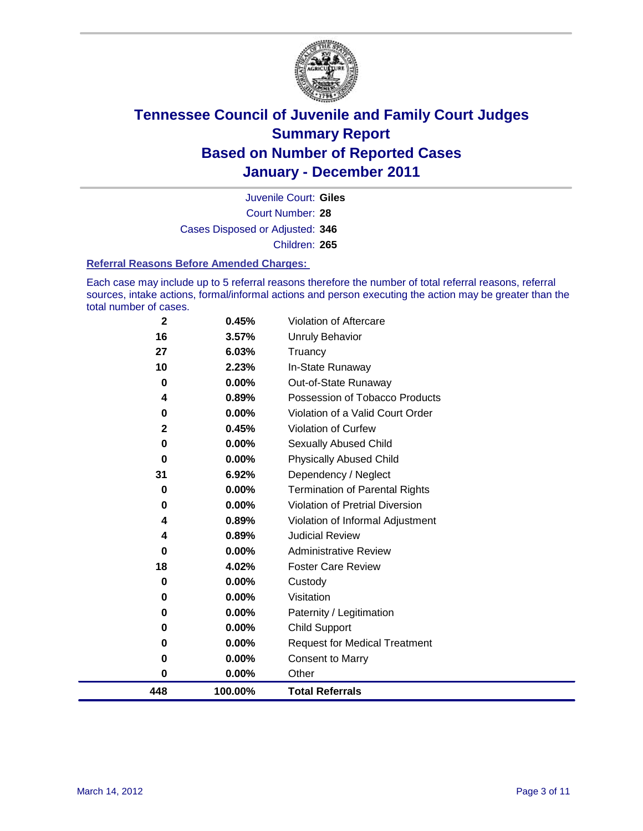

Court Number: **28** Juvenile Court: **Giles** Cases Disposed or Adjusted: **346** Children: **265**

#### **Referral Reasons Before Amended Charges:**

Each case may include up to 5 referral reasons therefore the number of total referral reasons, referral sources, intake actions, formal/informal actions and person executing the action may be greater than the total number of cases.

| $\bf{0}$<br>448 | 0.00%<br>100.00% | Other<br><b>Total Referrals</b>                        |
|-----------------|------------------|--------------------------------------------------------|
| 0               | 0.00%            | <b>Consent to Marry</b>                                |
| 0               | 0.00%            | <b>Request for Medical Treatment</b>                   |
| 0               | 0.00%            | <b>Child Support</b>                                   |
| 0               | 0.00%            | Paternity / Legitimation                               |
| 0               | 0.00%            | Visitation                                             |
| 0               | $0.00\%$         | Custody                                                |
| 18              | 4.02%            | <b>Foster Care Review</b>                              |
| 0               | $0.00\%$         | <b>Administrative Review</b>                           |
| 4               | 0.89%            | <b>Judicial Review</b>                                 |
| 4               | 0.89%            | Violation of Informal Adjustment                       |
| 0               | 0.00%            | <b>Violation of Pretrial Diversion</b>                 |
| 0               | $0.00\%$         | <b>Termination of Parental Rights</b>                  |
| 31              | 6.92%            | Dependency / Neglect                                   |
| $\bf{0}$        | 0.00%            | <b>Physically Abused Child</b>                         |
| $\bf{0}$        | $0.00\%$         | Sexually Abused Child                                  |
| $\mathbf{2}$    | 0.45%            | Violation of Curfew                                    |
| 0               | $0.00\%$         | Violation of a Valid Court Order                       |
| 0<br>4          | 0.00%<br>0.89%   | Out-of-State Runaway<br>Possession of Tobacco Products |
| 10              | 2.23%            | In-State Runaway                                       |
| 27              | 6.03%            | Truancy                                                |
| 16              | 3.57%            | Unruly Behavior                                        |
| $\mathbf 2$     | 0.45%            | Violation of Aftercare                                 |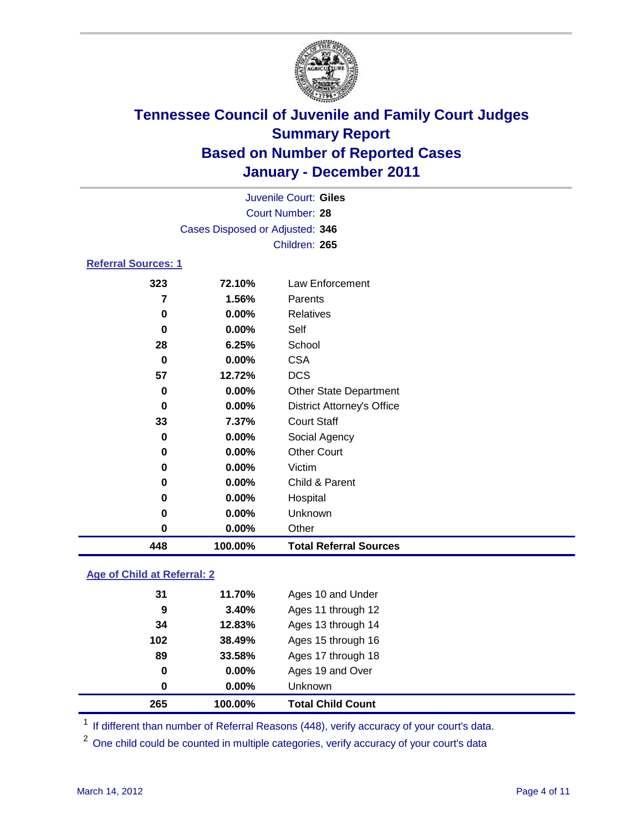

| 448                        | 100.00%                         | <b>Total Referral Sources</b>     |  |
|----------------------------|---------------------------------|-----------------------------------|--|
| 0                          | 0.00%                           | Other                             |  |
| 0                          | 0.00%                           | Unknown                           |  |
| 0                          | 0.00%                           | Hospital                          |  |
| 0                          | 0.00%                           | Child & Parent                    |  |
| 0                          | 0.00%                           | Victim                            |  |
| 0                          | 0.00%                           | <b>Other Court</b>                |  |
| 0                          | 0.00%                           | Social Agency                     |  |
| 33                         | 7.37%                           | <b>Court Staff</b>                |  |
| 0                          | 0.00%                           | <b>District Attorney's Office</b> |  |
| 0                          | 0.00%                           | <b>Other State Department</b>     |  |
| 57                         | 12.72%                          | <b>DCS</b>                        |  |
| 0                          | 0.00%                           | <b>CSA</b>                        |  |
| 28                         | 6.25%                           | School                            |  |
| 0                          | 0.00%                           | Self                              |  |
| 0                          | 0.00%                           | <b>Relatives</b>                  |  |
| 7                          | 1.56%                           | Parents                           |  |
| 323                        | 72.10%                          | Law Enforcement                   |  |
| <b>Referral Sources: 1</b> |                                 |                                   |  |
|                            |                                 | Children: 265                     |  |
|                            | Cases Disposed or Adjusted: 346 |                                   |  |
|                            |                                 | Court Number: 28                  |  |
|                            |                                 |                                   |  |
|                            |                                 | Juvenile Court: Giles             |  |

### **Age of Child at Referral: 2**

| 265 | 100.00%    | <b>Total Child Count</b> |
|-----|------------|--------------------------|
|     | 0.00%<br>0 | <b>Unknown</b>           |
|     | 0<br>0.00% | Ages 19 and Over         |
| 89  | 33.58%     | Ages 17 through 18       |
| 102 | 38.49%     | Ages 15 through 16       |
| 34  | 12.83%     | Ages 13 through 14       |
|     | 3.40%<br>9 | Ages 11 through 12       |
| 31  | 11.70%     | Ages 10 and Under        |
|     |            |                          |

<sup>1</sup> If different than number of Referral Reasons (448), verify accuracy of your court's data.

<sup>2</sup> One child could be counted in multiple categories, verify accuracy of your court's data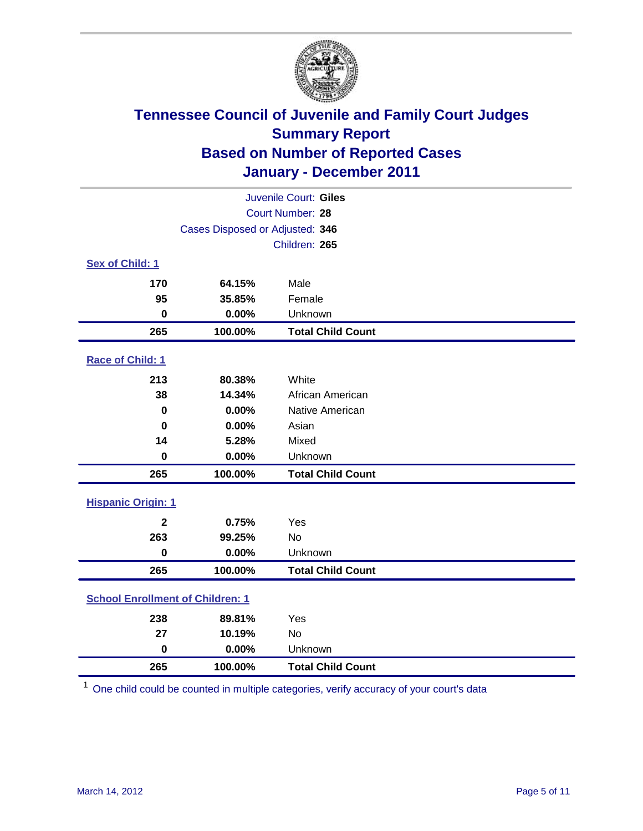

| Juvenile Court: Giles                   |                                 |                          |  |
|-----------------------------------------|---------------------------------|--------------------------|--|
|                                         |                                 | Court Number: 28         |  |
|                                         | Cases Disposed or Adjusted: 346 |                          |  |
|                                         |                                 | Children: 265            |  |
| Sex of Child: 1                         |                                 |                          |  |
| 170                                     | 64.15%                          | Male                     |  |
| 95                                      | 35.85%                          | Female                   |  |
| $\mathbf 0$                             | 0.00%                           | Unknown                  |  |
| 265                                     | 100.00%                         | <b>Total Child Count</b> |  |
| Race of Child: 1                        |                                 |                          |  |
| 213                                     | 80.38%                          | White                    |  |
| 38                                      | 14.34%                          | African American         |  |
| 0                                       | 0.00%                           | Native American          |  |
| $\bf{0}$                                | 0.00%                           | Asian                    |  |
| 14                                      | 5.28%                           | Mixed                    |  |
| $\mathbf 0$                             | 0.00%                           | Unknown                  |  |
| 265                                     | 100.00%                         | <b>Total Child Count</b> |  |
| <b>Hispanic Origin: 1</b>               |                                 |                          |  |
| $\mathbf{2}$                            | 0.75%                           | Yes                      |  |
| 263                                     | 99.25%                          | No                       |  |
| $\mathbf 0$                             | 0.00%                           | Unknown                  |  |
| 265                                     | 100.00%                         | <b>Total Child Count</b> |  |
| <b>School Enrollment of Children: 1</b> |                                 |                          |  |
| 238                                     | 89.81%                          | Yes                      |  |
| 27                                      | 10.19%                          | No                       |  |
| $\mathbf 0$                             | 0.00%                           | Unknown                  |  |
| 265                                     | 100.00%                         | <b>Total Child Count</b> |  |

One child could be counted in multiple categories, verify accuracy of your court's data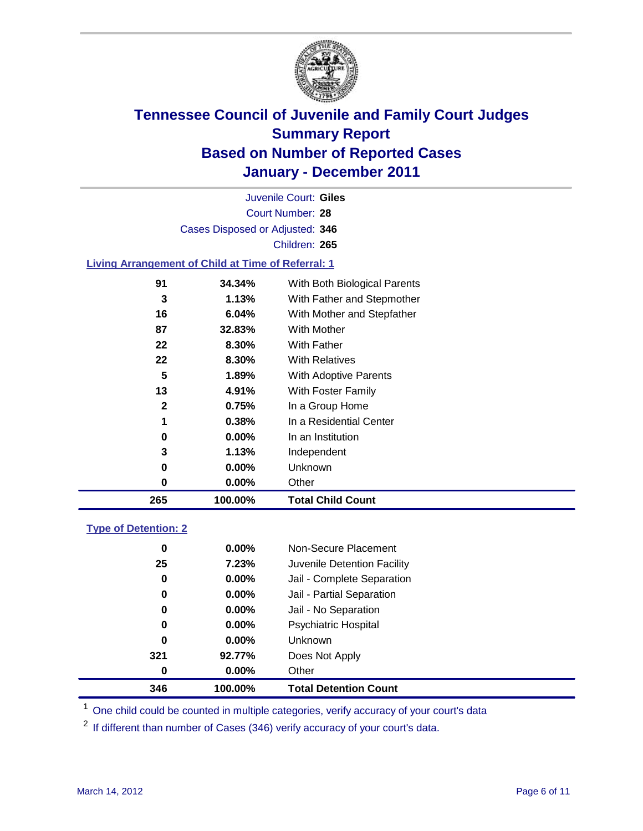

Court Number: **28** Juvenile Court: **Giles** Cases Disposed or Adjusted: **346** Children: **265**

#### **Living Arrangement of Child at Time of Referral: 1**

| 265          | 100.00%  | <b>Total Child Count</b>     |
|--------------|----------|------------------------------|
| 0            | 0.00%    | Other                        |
| 0            | $0.00\%$ | Unknown                      |
| 3            | 1.13%    | Independent                  |
| 0            | $0.00\%$ | In an Institution            |
| 1            | 0.38%    | In a Residential Center      |
| $\mathbf{2}$ | 0.75%    | In a Group Home              |
| 13           | 4.91%    | With Foster Family           |
| 5            | 1.89%    | With Adoptive Parents        |
| 22           | 8.30%    | <b>With Relatives</b>        |
| 22           | 8.30%    | With Father                  |
| 87           | 32.83%   | With Mother                  |
| 16           | 6.04%    | With Mother and Stepfather   |
| 3            | 1.13%    | With Father and Stepmother   |
| 91           | 34.34%   | With Both Biological Parents |
|              |          |                              |

#### **Type of Detention: 2**

| 346      | 100.00%  | <b>Total Detention Count</b> |  |
|----------|----------|------------------------------|--|
| 0        | 0.00%    | Other                        |  |
| 321      | 92.77%   | Does Not Apply               |  |
| $\bf{0}$ | $0.00\%$ | <b>Unknown</b>               |  |
| 0        | $0.00\%$ | Psychiatric Hospital         |  |
| 0        | 0.00%    | Jail - No Separation         |  |
| 0        | $0.00\%$ | Jail - Partial Separation    |  |
| 0        | $0.00\%$ | Jail - Complete Separation   |  |
| 25       | 7.23%    | Juvenile Detention Facility  |  |
| 0        | $0.00\%$ | Non-Secure Placement         |  |
|          |          |                              |  |

<sup>1</sup> One child could be counted in multiple categories, verify accuracy of your court's data

<sup>2</sup> If different than number of Cases (346) verify accuracy of your court's data.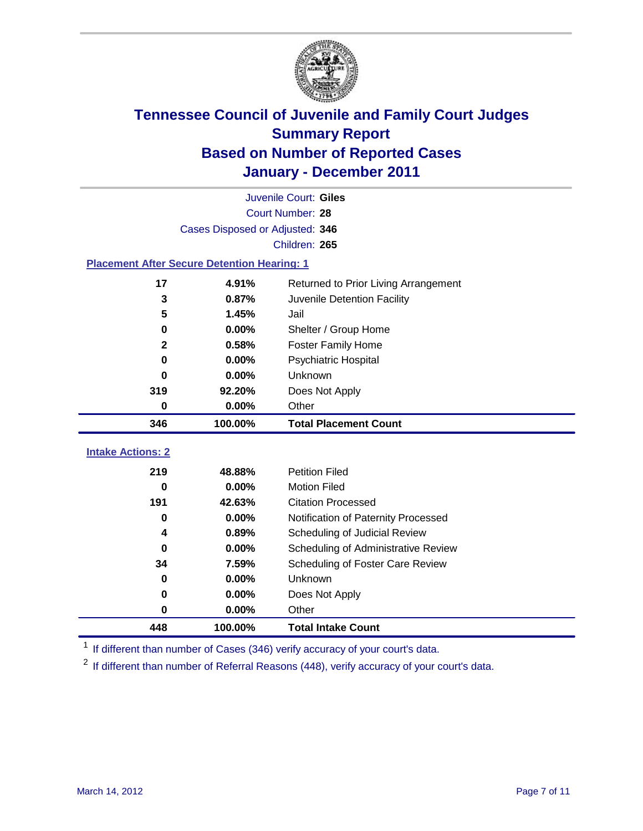

|                                                    | Juvenile Court: Giles           |                                      |  |  |  |
|----------------------------------------------------|---------------------------------|--------------------------------------|--|--|--|
|                                                    | Court Number: 28                |                                      |  |  |  |
|                                                    | Cases Disposed or Adjusted: 346 |                                      |  |  |  |
|                                                    |                                 | Children: 265                        |  |  |  |
| <b>Placement After Secure Detention Hearing: 1</b> |                                 |                                      |  |  |  |
| 17                                                 | 4.91%                           | Returned to Prior Living Arrangement |  |  |  |
| 3                                                  | 0.87%                           | Juvenile Detention Facility          |  |  |  |
| 5                                                  | 1.45%                           | Jail                                 |  |  |  |
| $\bf{0}$                                           | 0.00%                           | Shelter / Group Home                 |  |  |  |
| $\mathbf 2$                                        | 0.58%                           | Foster Family Home                   |  |  |  |
| $\bf{0}$                                           | 0.00%                           | <b>Psychiatric Hospital</b>          |  |  |  |
| 0                                                  | 0.00%                           | <b>Unknown</b>                       |  |  |  |
| 319                                                | 92.20%                          | Does Not Apply                       |  |  |  |
| $\mathbf 0$                                        | 0.00%                           | Other                                |  |  |  |
| 346                                                | 100.00%                         | <b>Total Placement Count</b>         |  |  |  |
|                                                    |                                 |                                      |  |  |  |
| <b>Intake Actions: 2</b>                           |                                 |                                      |  |  |  |
| 219                                                | 48.88%                          | <b>Petition Filed</b>                |  |  |  |
| $\bf{0}$                                           | 0.00%                           | <b>Motion Filed</b>                  |  |  |  |
| 191                                                | 42.63%                          | <b>Citation Processed</b>            |  |  |  |
| $\bf{0}$                                           | 0.00%                           | Notification of Paternity Processed  |  |  |  |
| 4                                                  | 0.89%                           | Scheduling of Judicial Review        |  |  |  |
| $\bf{0}$                                           | 0.00%                           | Scheduling of Administrative Review  |  |  |  |
| 34                                                 | 7.59%                           | Scheduling of Foster Care Review     |  |  |  |
| $\bf{0}$                                           | 0.00%                           | Unknown                              |  |  |  |
| 0                                                  | 0.00%                           | Does Not Apply                       |  |  |  |
| 0                                                  | 0.00%                           | Other                                |  |  |  |
| 448                                                | 100.00%                         | <b>Total Intake Count</b>            |  |  |  |

<sup>1</sup> If different than number of Cases (346) verify accuracy of your court's data.

<sup>2</sup> If different than number of Referral Reasons (448), verify accuracy of your court's data.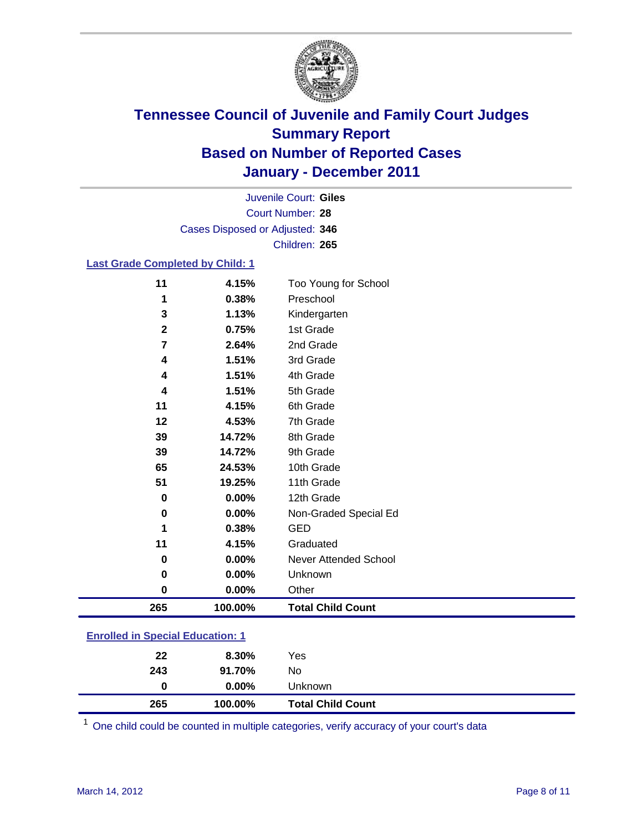

Court Number: **28** Juvenile Court: **Giles** Cases Disposed or Adjusted: **346** Children: **265**

#### **Last Grade Completed by Child: 1**

| 39          | 14.72%  | 8th Grade                    |  |
|-------------|---------|------------------------------|--|
| 39          | 14.72%  | 9th Grade                    |  |
| 65          | 24.53%  | 10th Grade                   |  |
| 51          | 19.25%  | 11th Grade                   |  |
| $\mathbf 0$ | 0.00%   | 12th Grade                   |  |
| $\bf{0}$    | 0.00%   | Non-Graded Special Ed        |  |
| 1           | 0.38%   | <b>GED</b>                   |  |
|             |         |                              |  |
| 11          | 4.15%   | Graduated                    |  |
| 0           | 0.00%   | <b>Never Attended School</b> |  |
| $\mathbf 0$ | 0.00%   | Unknown                      |  |
| $\pmb{0}$   | 0.00%   | Other                        |  |
|             |         |                              |  |
| 265         | 100.00% | <b>Total Child Count</b>     |  |

| 265                                   | 100.00%  | <b>Total Child Count</b> |  |
|---------------------------------------|----------|--------------------------|--|
| 0                                     | $0.00\%$ | Unknown                  |  |
| 243                                   | 91.70%   | No                       |  |
| 22                                    | 8.30%    | Yes                      |  |
| $\mathbf{r}$ only a  opposite example |          |                          |  |

One child could be counted in multiple categories, verify accuracy of your court's data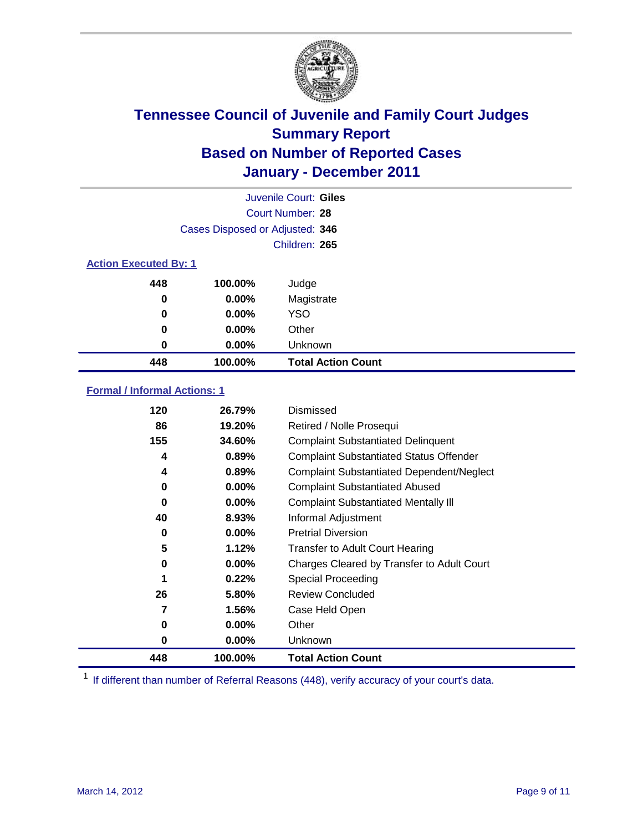

|                              | Juvenile Court: Giles           |                           |  |  |
|------------------------------|---------------------------------|---------------------------|--|--|
|                              | Court Number: 28                |                           |  |  |
|                              | Cases Disposed or Adjusted: 346 |                           |  |  |
|                              |                                 | Children: 265             |  |  |
| <b>Action Executed By: 1</b> |                                 |                           |  |  |
| 448                          | 100.00%                         | Judge                     |  |  |
| 0                            | $0.00\%$                        | Magistrate                |  |  |
| 0                            | $0.00\%$                        | <b>YSO</b>                |  |  |
| 0                            | 0.00%                           | Other                     |  |  |
| 0                            | 0.00%                           | Unknown                   |  |  |
| 448                          | 100.00%                         | <b>Total Action Count</b> |  |  |

### **Formal / Informal Actions: 1**

| 120 | 26.79%   | Dismissed                                        |
|-----|----------|--------------------------------------------------|
| 86  | 19.20%   | Retired / Nolle Prosequi                         |
| 155 | 34.60%   | <b>Complaint Substantiated Delinquent</b>        |
| 4   | 0.89%    | <b>Complaint Substantiated Status Offender</b>   |
| 4   | 0.89%    | <b>Complaint Substantiated Dependent/Neglect</b> |
| 0   | $0.00\%$ | <b>Complaint Substantiated Abused</b>            |
| 0   | $0.00\%$ | <b>Complaint Substantiated Mentally III</b>      |
| 40  | 8.93%    | Informal Adjustment                              |
| 0   | $0.00\%$ | <b>Pretrial Diversion</b>                        |
| 5   | 1.12%    | <b>Transfer to Adult Court Hearing</b>           |
| 0   | $0.00\%$ | Charges Cleared by Transfer to Adult Court       |
| 1   | 0.22%    | <b>Special Proceeding</b>                        |
| 26  | 5.80%    | <b>Review Concluded</b>                          |
| 7   | $1.56\%$ | Case Held Open                                   |
| 0   | $0.00\%$ | Other                                            |
| 0   | $0.00\%$ | Unknown                                          |
| 448 | 100.00%  | <b>Total Action Count</b>                        |

<sup>1</sup> If different than number of Referral Reasons (448), verify accuracy of your court's data.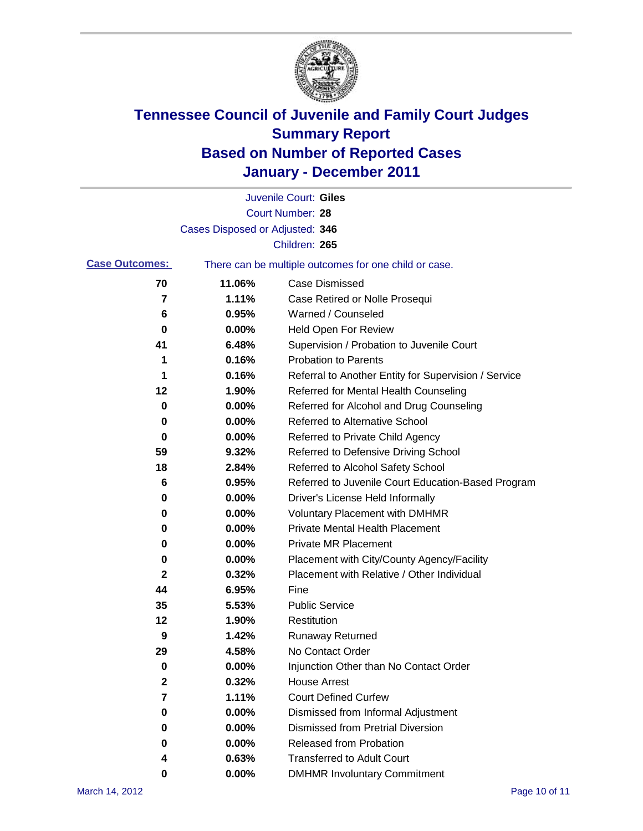

|                       |                                 | Juvenile Court: Giles                                 |
|-----------------------|---------------------------------|-------------------------------------------------------|
|                       |                                 | Court Number: 28                                      |
|                       | Cases Disposed or Adjusted: 346 |                                                       |
|                       |                                 | Children: 265                                         |
| <b>Case Outcomes:</b> |                                 | There can be multiple outcomes for one child or case. |
| 70                    | 11.06%                          | <b>Case Dismissed</b>                                 |
| 7                     | 1.11%                           | Case Retired or Nolle Prosequi                        |
| 6                     | 0.95%                           | Warned / Counseled                                    |
| 0                     | 0.00%                           | Held Open For Review                                  |
| 41                    | 6.48%                           | Supervision / Probation to Juvenile Court             |
| 1                     | 0.16%                           | <b>Probation to Parents</b>                           |
| 1                     | 0.16%                           | Referral to Another Entity for Supervision / Service  |
| 12                    | 1.90%                           | Referred for Mental Health Counseling                 |
| 0                     | 0.00%                           | Referred for Alcohol and Drug Counseling              |
| 0                     | 0.00%                           | <b>Referred to Alternative School</b>                 |
| 0                     | 0.00%                           | Referred to Private Child Agency                      |
| 59                    | 9.32%                           | Referred to Defensive Driving School                  |
| 18                    | 2.84%                           | Referred to Alcohol Safety School                     |
| 6                     | 0.95%                           | Referred to Juvenile Court Education-Based Program    |
| 0                     | 0.00%                           | Driver's License Held Informally                      |
| 0                     | 0.00%                           | <b>Voluntary Placement with DMHMR</b>                 |
| 0                     | 0.00%                           | <b>Private Mental Health Placement</b>                |
| 0                     | 0.00%                           | <b>Private MR Placement</b>                           |
| 0                     | 0.00%                           | Placement with City/County Agency/Facility            |
| 2                     | 0.32%                           | Placement with Relative / Other Individual            |
| 44                    | 6.95%                           | Fine                                                  |
| 35                    | 5.53%                           | <b>Public Service</b>                                 |
| 12                    | 1.90%                           | Restitution                                           |
| 9                     | 1.42%                           | <b>Runaway Returned</b>                               |
| 29                    | 4.58%                           | No Contact Order                                      |
| 0                     | 0.00%                           | Injunction Other than No Contact Order                |
| $\mathbf 2$           | 0.32%                           | <b>House Arrest</b>                                   |
| 7                     | 1.11%                           | <b>Court Defined Curfew</b>                           |
| 0                     | $0.00\%$                        | Dismissed from Informal Adjustment                    |
| 0                     | $0.00\%$                        | <b>Dismissed from Pretrial Diversion</b>              |
| 0                     | 0.00%                           | Released from Probation                               |
| 4                     | 0.63%                           | <b>Transferred to Adult Court</b>                     |
| 0                     | $0.00\%$                        | <b>DMHMR Involuntary Commitment</b>                   |